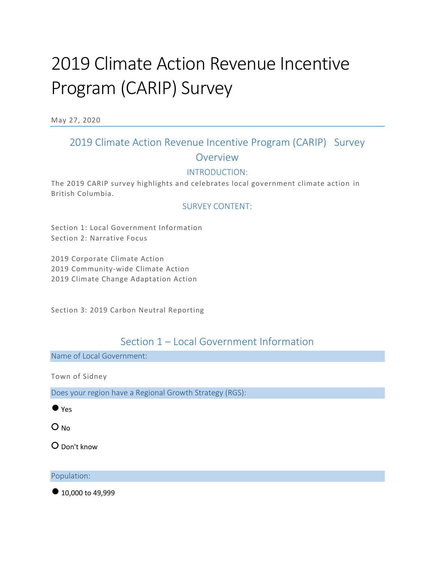# 2019 Climate Action Revenue Incentive Program (CARIP) Survey

May 27, 2020

# 2019 Climate Action Revenue Incentive Program (CARIP) Survey Overview

## INTRODUCTION:

The 2019 CARIP survey highlights and celebrates local government climate action in British Columbia.

## SURVEY CONTENT:

Section 1: Local Government Information Section 2: Narrative Focus

2019 Corporate Climate Action 2019 Community-wide Climate Action 2019 Climate Change Adaptation Action

Section 3: 2019 Carbon Neutral Reporting

## Section 1 – Local Government Information

Name of Local Government:

Town of Sidney

Does your region have a Regional Growth Strategy (RGS):

 $\bullet$  Yes

○ No

○ Don't know

Population:

● 10,000 to 49,999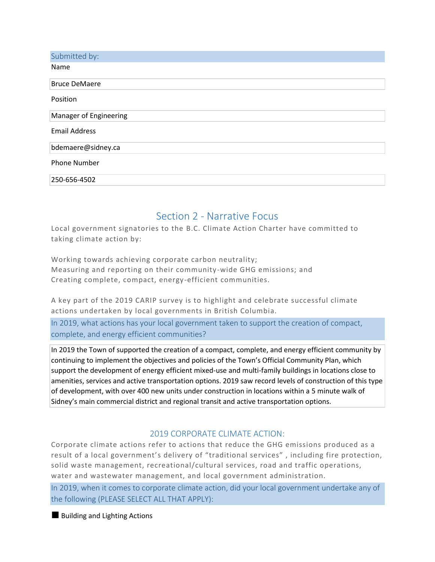| Submitted by:          |
|------------------------|
| Name                   |
| <b>Bruce DeMaere</b>   |
| Position               |
| Manager of Engineering |
| <b>Email Address</b>   |
| bdemaere@sidney.ca     |
| <b>Phone Number</b>    |
| 250-656-4502           |

## Section 2 - Narrative Focus

Local government signatories to the B.C. Climate Action Charter have committed to taking climate action by:

Working towards achieving corporate carbon neutrality; Measuring and reporting on their community -wide GHG emissions; and Creating complete, compact, energy-efficient communities.

A key part of the 2019 CARIP survey is to highlight and celebrate successful climate actions undertaken by local governments in British Columbia.

In 2019, what actions has your local government taken to support the creation of compact, complete, and energy efficient communities?

In 2019 the Town of supported the creation of a compact, complete, and energy efficient community by continuing to implement the objectives and policies of the Town's Official Community Plan, which support the development of energy efficient mixed-use and multi-family buildings in locations close to amenities, services and active transportation options. 2019 saw record levels of construction of this type of development, with over 400 new units under construction in locations within a 5 minute walk of Sidney's main commercial district and regional transit and active transportation options.

## 2019 CORPORATE CLIMATE ACTION:

Corporate climate actions refer to actions that reduce the GHG emissions produced as a result of a local government's delivery of "traditional services" , including fire protection, solid waste management, recreational/cultural services, road and traffic operations, water and wastewater management, and local government administration.

In 2019, when it comes to corporate climate action, did your local government undertake any of the following (PLEASE SELECT ALL THAT APPLY):

■ Building and Lighting Actions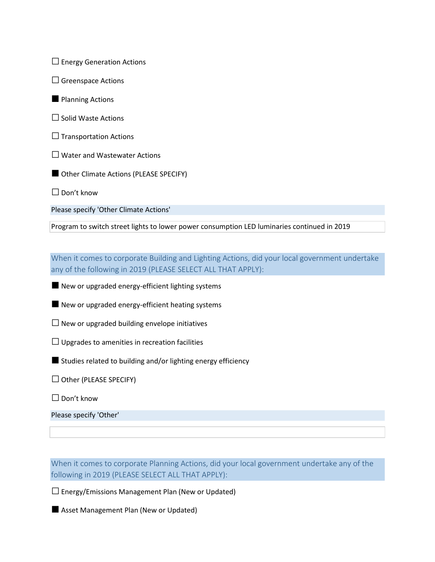$\square$  Energy Generation Actions

- $\square$  Greenspace Actions
- Planning Actions
- □ Solid Waste Actions
- $\square$  Transportation Actions
- □ Water and Wastewater Actions
- Other Climate Actions (PLEASE SPECIFY)

 $\Box$  Don't know

Please specify 'Other Climate Actions'

Program to switch street lights to lower power consumption LED luminaries continued in 2019

When it comes to corporate Building and Lighting Actions, did your local government undertake any of the following in 2019 (PLEASE SELECT ALL THAT APPLY):

■ New or upgraded energy-efficient lighting systems

■ New or upgraded energy-efficient heating systems

 $\square$  New or upgraded building envelope initiatives

 $\Box$  Upgrades to amenities in recreation facilities

■ Studies related to building and/or lighting energy efficiency

 $\Box$  Other (PLEASE SPECIFY)

□ Don't know

Please specify 'Other'

When it comes to corporate Planning Actions, did your local government undertake any of the following in 2019 (PLEASE SELECT ALL THAT APPLY):

 $\square$  Energy/Emissions Management Plan (New or Updated)

■ Asset Management Plan (New or Updated)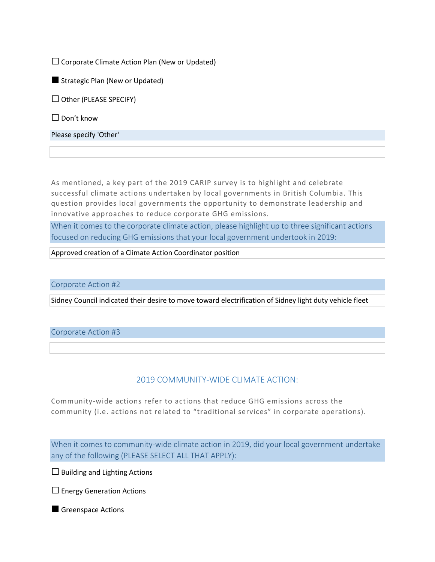$\square$  Corporate Climate Action Plan (New or Updated)

■ Strategic Plan (New or Updated)

 $\Box$  Other (PLEASE SPECIFY)

□ Don't know

Please specify 'Other'

As mentioned, a key part of the 2019 CARIP survey is to highlight and celebrate successful climate actions undertaken by local governments in British Columbia. This question provides local governments the opportunity to demonstrate leadership and innovative approaches to reduce corporate GHG emissions.

When it comes to the corporate climate action, please highlight up to three significant actions focused on reducing GHG emissions that your local government undertook in 2019:

Approved creation of a Climate Action Coordinator position

Corporate Action #2

Sidney Council indicated their desire to move toward electrification of Sidney light duty vehicle fleet

#### Corporate Action #3

## 2019 COMMUNITY-WIDE CLIMATE ACTION:

Community-wide actions refer to actions that reduce GHG emissions across the community (i.e. actions not related to "traditional services" in corporate operations).

When it comes to community-wide climate action in 2019, did your local government undertake any of the following (PLEASE SELECT ALL THAT APPLY):

 $\Box$  Building and Lighting Actions

 $\square$  Energy Generation Actions

■ Greenspace Actions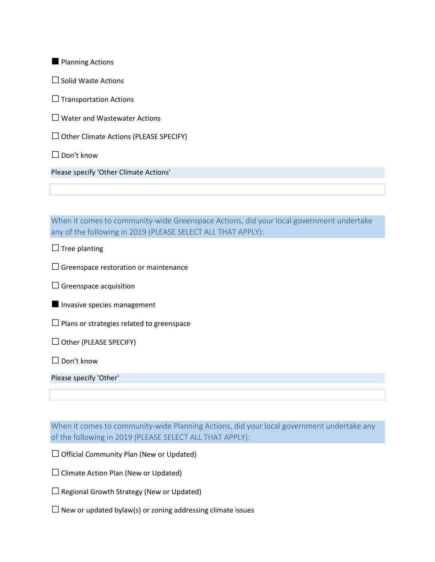**Planning Actions** 

□ Solid Waste Actions

 $\Box$  Transportation Actions

 $\square$  Water and Wastewater Actions

 $\Box$  Other Climate Actions (PLEASE SPECIFY)

□ Don't know

Please specify 'Other Climate Actions'

When it comes to community-wide Greenspace Actions, did your local government undertake any of the following in 2019 (PLEASE SELECT ALL THAT APPLY):

 $\Box$  Tree planting

 $\square$  Greenspace restoration or maintenance

 $\square$  Greenspace acquisition

**Invasive species management** 

 $\square$  Plans or strategies related to greenspace

 $\Box$  Other (PLEASE SPECIFY)

□ Don't know

Please specify 'Other'

When it comes to community-wide Planning Actions, did your local government undertake any of the following in 2019 (PLEASE SELECT ALL THAT APPLY):

 $\Box$  Official Community Plan (New or Updated)

 $\square$  Climate Action Plan (New or Updated)

 $\square$  Regional Growth Strategy (New or Updated)

 $\square$  New or updated bylaw(s) or zoning addressing climate issues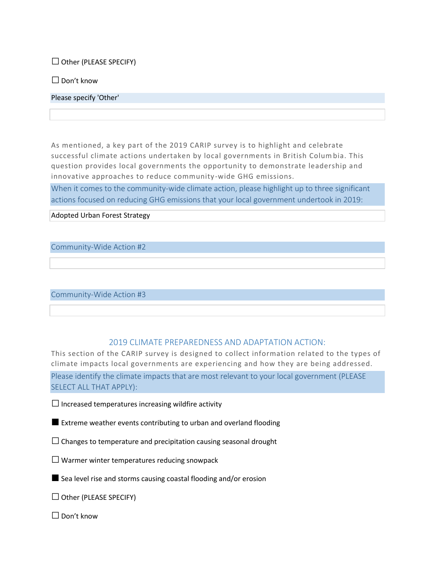$\Box$  Other (PLEASE SPECIFY)

 $\square$  Don't know

Please specify 'Other'

As mentioned, a key part of the 2019 CARIP survey is to highlight and celebrate successful climate actions undertaken by local governments in British Columbia. This question provides local governments the opportunity to demonstrate leadership and innovative approaches to reduce community -wide GHG emissions.

When it comes to the community-wide climate action, please highlight up to three significant actions focused on reducing GHG emissions that your local government undertook in 2019:

Adopted Urban Forest Strategy

Community-Wide Action #2

Community-Wide Action #3

#### 2019 CLIMATE PREPAREDNESS AND ADAPTATION ACTION:

This section of the CARIP survey is designed to collect information related to the types of climate impacts local governments are experiencing and how they are being addressed. Please identify the climate impacts that are most relevant to your local government (PLEASE SELECT ALL THAT APPLY):

 $\square$  Increased temperatures increasing wildfire activity

■ Extreme weather events contributing to urban and overland flooding

 $\square$  Changes to temperature and precipitation causing seasonal drought

 $\square$  Warmer winter temperatures reducing snowpack

■ Sea level rise and storms causing coastal flooding and/or erosion

 $\Box$  Other (PLEASE SPECIFY)

 $\Box$  Don't know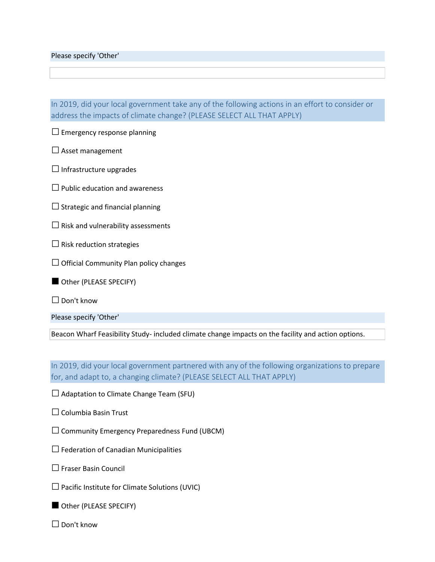Please specify 'Other'

In 2019, did your local government take any of the following actions in an effort to consider or address the impacts of climate change? (PLEASE SELECT ALL THAT APPLY)

 $\square$  Emergency response planning

 $\square$  Asset management

 $\Box$  Infrastructure upgrades

 $\square$  Public education and awareness

 $\square$  Strategic and financial planning

 $\square$  Risk and vulnerability assessments

 $\square$  Risk reduction strategies

 $\Box$  Official Community Plan policy changes

Other (PLEASE SPECIFY)

□ Don't know

Please specify 'Other'

Beacon Wharf Feasibility Study- included climate change impacts on the facility and action options.

In 2019, did your local government partnered with any of the following organizations to prepare for, and adapt to, a changing climate? (PLEASE SELECT ALL THAT APPLY)

 $\square$  Adaptation to Climate Change Team (SFU)

 $\Box$  Columbia Basin Trust

 $\square$  Community Emergency Preparedness Fund (UBCM)

 $\square$  Federation of Canadian Municipalities

□ Fraser Basin Council

 $\square$  Pacific Institute for Climate Solutions (UVIC)

■ Other (PLEASE SPECIFY)

□ Don't know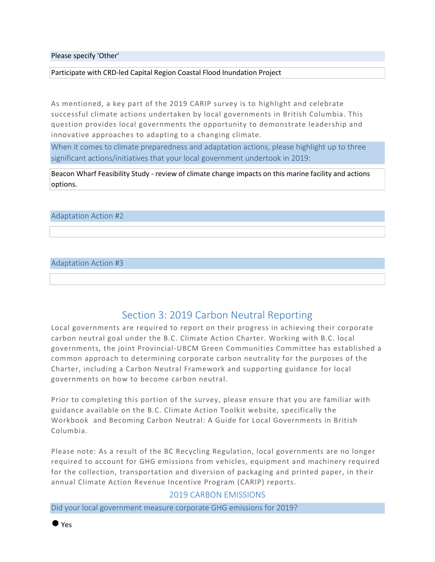Please specify 'Other'

Participate with CRD-led Capital Region Coastal Flood Inundation Project

As mentioned, a key part of the 2019 CARIP survey is to highlight and celebrate successful climate actions undertaken by local governments in British Columbia. This question provides local governments the opportunity to demonstrate leadership and innovative approaches to adapting to a changing climate.

When it comes to climate preparedness and adaptation actions, please highlight up to three significant actions/initiatives that your local government undertook in 2019:

Beacon Wharf Feasibility Study - review of climate change impacts on this marine facility and actions options.

#### Adaptation Action #2

#### Adaptation Action #3

## Section 3: 2019 Carbon Neutral Reporting

Local governments are required to report on their progress in achieving their corporate carbon neutral goal under the B.C. Climate Action Charter. Working with B.C. local governments, the joint Provincial-UBCM Green Communities Committee has established a common approach to determining corporate carbon neutrality for the purposes of the Charter, including a Carbon Neutral Framework and supporting guidance for local governments on how to become carbon neutral.

Prior to completing this portion of the survey, please ensure that you are familiar with guidance available on the B.C. Climate Action Toolkit website, specifically the Workbook and Becoming Carbon Neutral: A Guide for Local Governments in British Columbia.

Please note: As a result of the BC Recycling Regulation, local governments are no longer required to account for GHG emissions from vehicles, equipment and machinery required for the collection, transportation and diversion of packaging and printed paper, in their annual Climate Action Revenue Incentive Program (CARIP) reports.

#### 2019 CARBON EMISSIONS

Did your local government measure corporate GHG emissions for 2019?

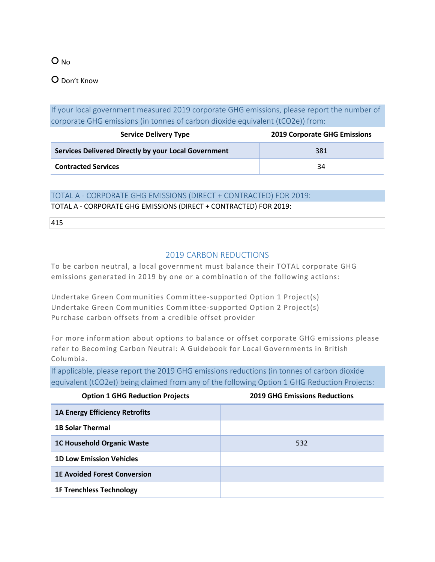O No

## ○ Don't Know

If your local government measured 2019 corporate GHG emissions, please report the number of corporate GHG emissions (in tonnes of carbon dioxide equivalent (tCO2e)) from:

| <b>Service Delivery Type</b>                         | <b>2019 Corporate GHG Emissions</b> |  |
|------------------------------------------------------|-------------------------------------|--|
| Services Delivered Directly by your Local Government | 381                                 |  |
| <b>Contracted Services</b>                           | 34                                  |  |

#### TOTAL A - CORPORATE GHG EMISSIONS (DIRECT + CONTRACTED) FOR 2019:

TOTAL A - CORPORATE GHG EMISSIONS (DIRECT + CONTRACTED) FOR 2019:

415

## 2019 CARBON REDUCTIONS

To be carbon neutral, a local government must balance their TOTAL corporate GHG emissions generated in 2019 by one or a combination of the following actions:

Undertake Green Communities Committee-supported Option 1 Project(s) Undertake Green Communities Committee-supported Option 2 Project(s) Purchase carbon offsets from a credible offset provider

For more information about options to balance or offset corporate GHG emissions please refer to Becoming Carbon Neutral: A Guidebook for Local Governments in British Columbia.

If applicable, please report the 2019 GHG emissions reductions (in tonnes of carbon dioxide equivalent (tCO2e)) being claimed from any of the following Option 1 GHG Reduction Projects:

| <b>Option 1 GHG Reduction Projects</b> | <b>2019 GHG Emissions Reductions</b> |
|----------------------------------------|--------------------------------------|
| <b>1A Energy Efficiency Retrofits</b>  |                                      |
| <b>1B Solar Thermal</b>                |                                      |
| <b>1C Household Organic Waste</b>      | 532                                  |
| <b>1D Low Emission Vehicles</b>        |                                      |
| <b>1E Avoided Forest Conversion</b>    |                                      |
| <b>1F Trenchless Technology</b>        |                                      |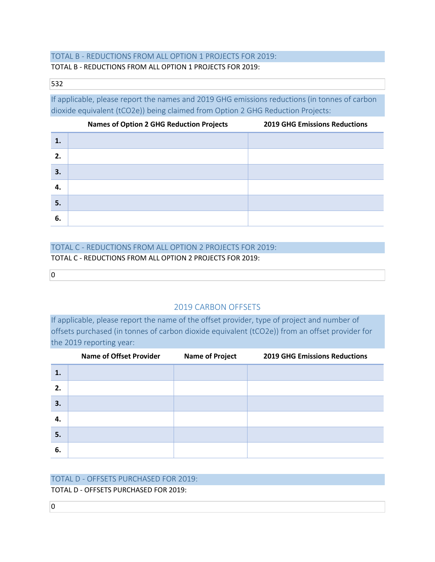## TOTAL B - REDUCTIONS FROM ALL OPTION 1 PROJECTS FOR 2019:

#### TOTAL B - REDUCTIONS FROM ALL OPTION 1 PROJECTS FOR 2019:

#### 532

If applicable, please report the names and 2019 GHG emissions reductions (in tonnes of carbon dioxide equivalent (tCO2e)) being claimed from Option 2 GHG Reduction Projects:

|    | <b>Names of Option 2 GHG Reduction Projects</b> | <b>2019 GHG Emissions Reductions</b> |
|----|-------------------------------------------------|--------------------------------------|
| 1. |                                                 |                                      |
| 2. |                                                 |                                      |
| 3. |                                                 |                                      |
| 4. |                                                 |                                      |
| 5. |                                                 |                                      |
| 6. |                                                 |                                      |

# TOTAL C - REDUCTIONS FROM ALL OPTION 2 PROJECTS FOR 2019:

TOTAL C - REDUCTIONS FROM ALL OPTION 2 PROJECTS FOR 2019:

 $\overline{0}$ 

 $\overline{0}$ 

## 2019 CARBON OFFSETS

If applicable, please report the name of the offset provider, type of project and number of offsets purchased (in tonnes of carbon dioxide equivalent (tCO2e)) from an offset provider for the 2019 reporting year:

|    | <b>Name of Offset Provider</b> | <b>Name of Project</b> | <b>2019 GHG Emissions Reductions</b> |
|----|--------------------------------|------------------------|--------------------------------------|
| 1. |                                |                        |                                      |
| 2. |                                |                        |                                      |
| 3. |                                |                        |                                      |
| 4. |                                |                        |                                      |
| 5. |                                |                        |                                      |
| 6. |                                |                        |                                      |

#### TOTAL D - OFFSETS PURCHASED FOR 2019:

TOTAL D - OFFSETS PURCHASED FOR 2019: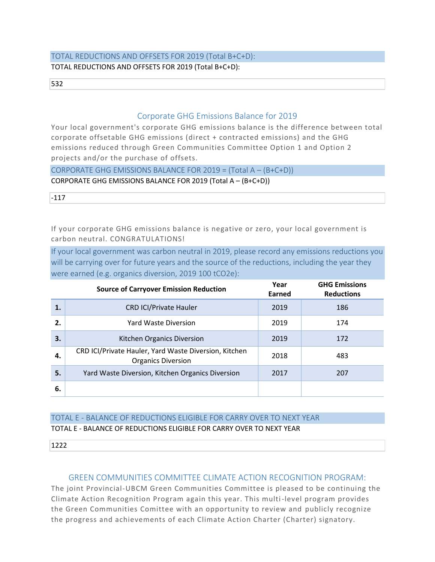## TOTAL REDUCTIONS AND OFFSETS FOR 2019 (Total B+C+D): TOTAL REDUCTIONS AND OFFSETS FOR 2019 (Total B+C+D):

532

#### Corporate GHG Emissions Balance for 2019

Your local government's corporate GHG emissions balance is the difference between total corporate offsetable GHG emissions (direct + contracted emissions) and the GHG emissions reduced through Green Communities Committee Option 1 and Option 2 projects and/or the purchase of offsets.

CORPORATE GHG EMISSIONS BALANCE FOR 2019 = (Total A – (B+C+D))

CORPORATE GHG EMISSIONS BALANCE FOR 2019 (Total A – (B+C+D))

-117

If your corporate GHG emissions balance is negative or zero, your local government is carbon neutral. CONGRATULATIONS!

If your local government was carbon neutral in 2019, please record any emissions reductions you will be carrying over for future years and the source of the reductions, including the year they were earned (e.g. organics diversion, 2019 100 tCO2e):

|    | <b>Source of Carryover Emission Reduction</b>                                              | Year<br>Earned | <b>GHG Emissions</b><br><b>Reductions</b> |
|----|--------------------------------------------------------------------------------------------|----------------|-------------------------------------------|
| 1. | <b>CRD ICI/Private Hauler</b>                                                              | 2019           | 186                                       |
| 2. | Yard Waste Diversion                                                                       | 2019           | 174                                       |
| 3. | Kitchen Organics Diversion                                                                 | 2019           | 172                                       |
| 4. | CRD ICI/Private Hauler, Yard Waste Diversion, Kitchen<br>2018<br><b>Organics Diversion</b> |                | 483                                       |
| 5. | Yard Waste Diversion, Kitchen Organics Diversion                                           | 2017           | 207                                       |
| 6. |                                                                                            |                |                                           |

## TOTAL E - BALANCE OF REDUCTIONS ELIGIBLE FOR CARRY OVER TO NEXT YEAR TOTAL E - BALANCE OF REDUCTIONS ELIGIBLE FOR CARRY OVER TO NEXT YEAR

1222

## GREEN COMMUNITIES COMMITTEE CLIMATE ACTION RECOGNITION PROGRAM:

The joint Provincial-UBCM Green Communities Committee is pleased to be continuing the Climate Action Recognition Program again this year. This multi-level program provides the Green Communities Comittee with an opportunity to review and publicly recognize the progress and achievements of each Climate Action Charter (Charter) signatory.